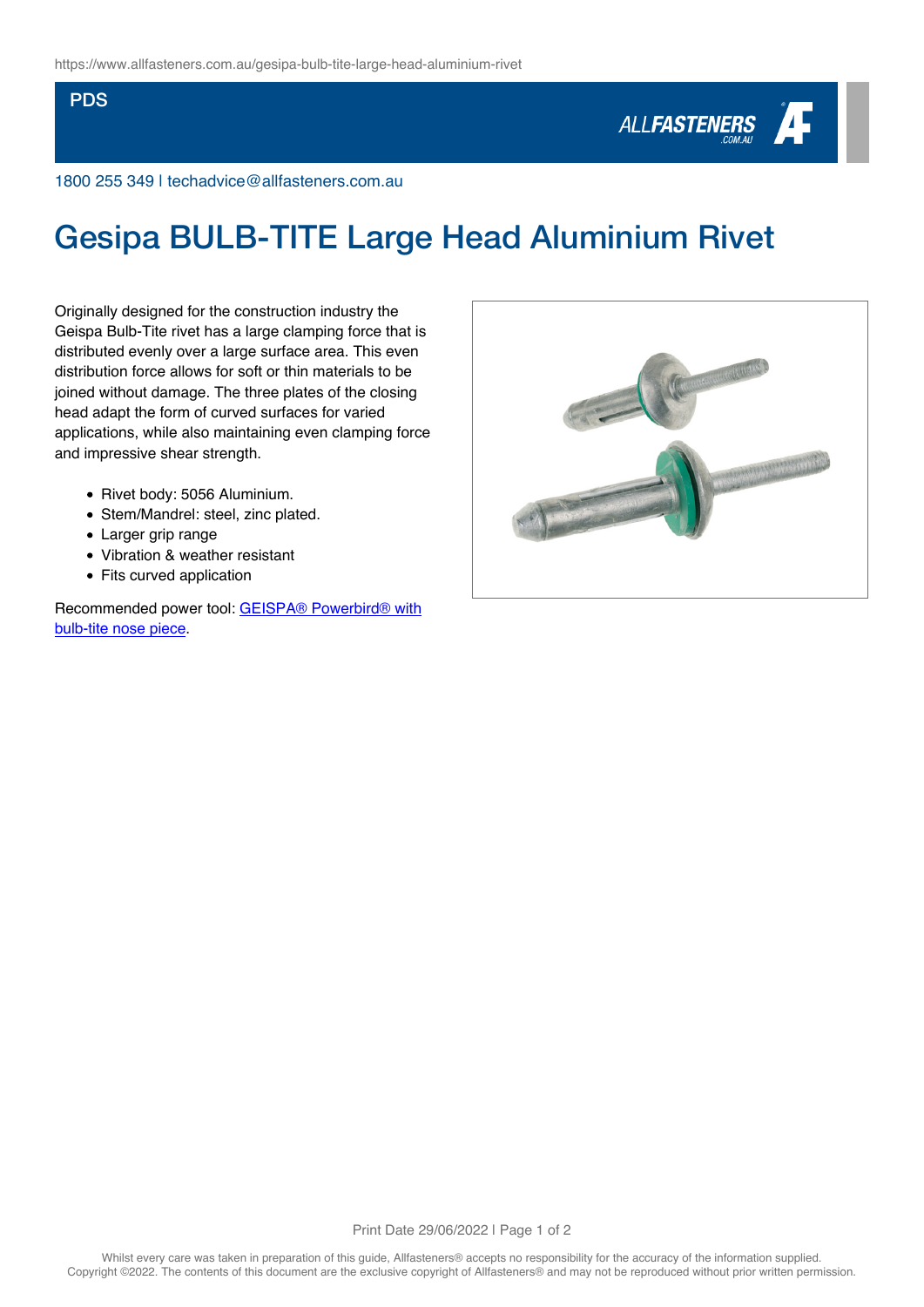## PDS



1800 255 349 | techadvice@allfasteners.com.au

## Gesipa BULB-TITE Large Head Aluminium Rivet

Originally designed for the construction industry the Geispa Bulb-Tite rivet has a large clamping force that is distributed evenly over a large surface area. This even distribution force allows for soft or thin materials to be joined without damage. The three plates of the closing head adapt the form of curved surfaces for varied applications, while also maintaining even clamping force and impressive shear strength.

- Rivet body: 5056 Aluminium.
- Stem/Mandrel: steel, zinc plated.
- Larger grip range
- Vibration & weather resistant
- Fits curved application

Recommended power tool: [GEISPA® Powerbird® with](https://www.allfasteners.com.au/gesipa-powerbird-rivet-gun-bt-edition) [bulb-tite nose piece.](https://www.allfasteners.com.au/gesipa-powerbird-rivet-gun-bt-edition)